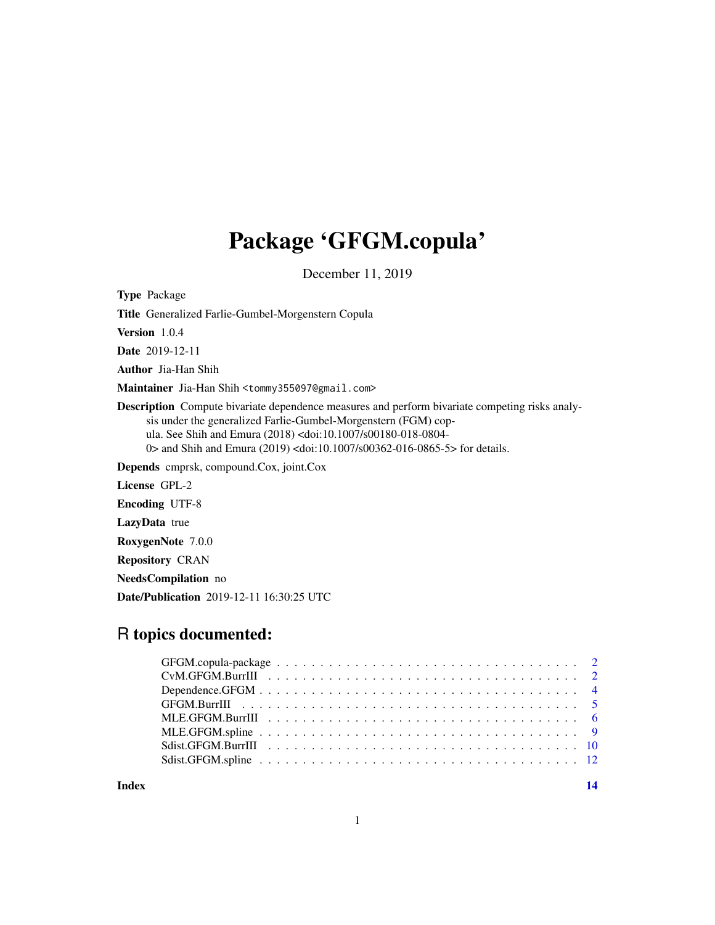## Package 'GFGM.copula'

December 11, 2019

Type Package

Title Generalized Farlie-Gumbel-Morgenstern Copula

Version 1.0.4

Date 2019-12-11

Author Jia-Han Shih

Maintainer Jia-Han Shih <tommy355097@gmail.com>

Description Compute bivariate dependence measures and perform bivariate competing risks analysis under the generalized Farlie-Gumbel-Morgenstern (FGM) copula. See Shih and Emura (2018) <doi:10.1007/s00180-018-0804- 0> and Shih and Emura (2019) <doi:10.1007/s00362-016-0865-5> for details.

Depends cmprsk, compound.Cox, joint.Cox

License GPL-2

Encoding UTF-8

LazyData true

RoxygenNote 7.0.0

Repository CRAN

NeedsCompilation no

Date/Publication 2019-12-11 16:30:25 UTC

## R topics documented:

**Index** and the contract of the contract of the contract of the contract of the contract of the contract of the contract of the contract of the contract of the contract of the contract of the contract of the contract of th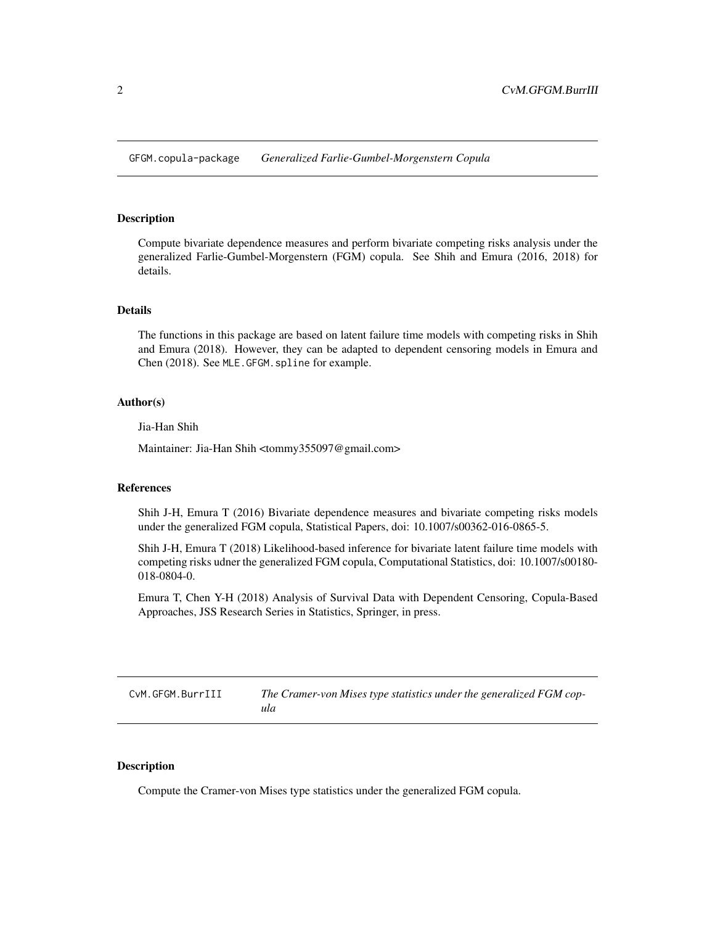<span id="page-1-0"></span>GFGM.copula-package *Generalized Farlie-Gumbel-Morgenstern Copula*

#### Description

Compute bivariate dependence measures and perform bivariate competing risks analysis under the generalized Farlie-Gumbel-Morgenstern (FGM) copula. See Shih and Emura (2016, 2018) for details.

#### Details

The functions in this package are based on latent failure time models with competing risks in Shih and Emura (2018). However, they can be adapted to dependent censoring models in Emura and Chen (2018). See MLE.GFGM.spline for example.

#### Author(s)

Jia-Han Shih

Maintainer: Jia-Han Shih <tommy355097@gmail.com>

#### References

Shih J-H, Emura T (2016) Bivariate dependence measures and bivariate competing risks models under the generalized FGM copula, Statistical Papers, doi: 10.1007/s00362-016-0865-5.

Shih J-H, Emura T (2018) Likelihood-based inference for bivariate latent failure time models with competing risks udner the generalized FGM copula, Computational Statistics, doi: 10.1007/s00180- 018-0804-0.

Emura T, Chen Y-H (2018) Analysis of Survival Data with Dependent Censoring, Copula-Based Approaches, JSS Research Series in Statistics, Springer, in press.

CvM.GFGM.BurrIII *The Cramer-von Mises type statistics under the generalized FGM copula*

#### Description

Compute the Cramer-von Mises type statistics under the generalized FGM copula.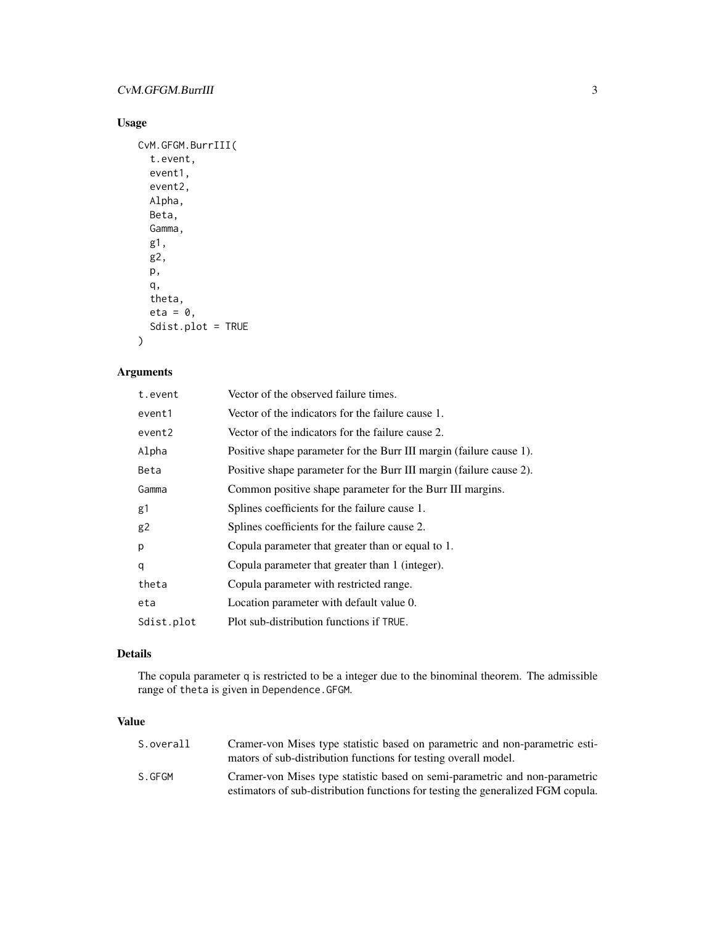#### CvM.GFGM.BurrIII 3

#### Usage

```
CvM.GFGM.BurrIII(
  t.event,
  event1,
  event2,
  Alpha,
  Beta,
  Gamma,
  g1,
  g2,
  p,
  q,
  theta,
  eta = 0,
  Sdist.plot = TRUE
\overline{\phantom{a}}
```
#### Arguments

| t.event    | Vector of the observed failure times.                               |
|------------|---------------------------------------------------------------------|
| event1     | Vector of the indicators for the failure cause 1.                   |
| event2     | Vector of the indicators for the failure cause 2.                   |
| Alpha      | Positive shape parameter for the Burr III margin (failure cause 1). |
| Beta       | Positive shape parameter for the Burr III margin (failure cause 2). |
| Gamma      | Common positive shape parameter for the Burr III margins.           |
| g1         | Splines coefficients for the failure cause 1.                       |
| g2         | Splines coefficients for the failure cause 2.                       |
| p          | Copula parameter that greater than or equal to 1.                   |
| q          | Copula parameter that greater than 1 (integer).                     |
| theta      | Copula parameter with restricted range.                             |
| eta        | Location parameter with default value 0.                            |
| Sdist.plot | Plot sub-distribution functions if TRUE.                            |

#### Details

The copula parameter q is restricted to be a integer due to the binominal theorem. The admissible range of theta is given in Dependence.GFGM.

#### Value

| S.overall | Cramer-von Mises type statistic based on parametric and non-parametric esti-<br>mators of sub-distribution functions for testing overall model.                 |
|-----------|-----------------------------------------------------------------------------------------------------------------------------------------------------------------|
| S.GFGM    | Cramer-von Mises type statistic based on semi-parametric and non-parametric<br>estimators of sub-distribution functions for testing the generalized FGM copula. |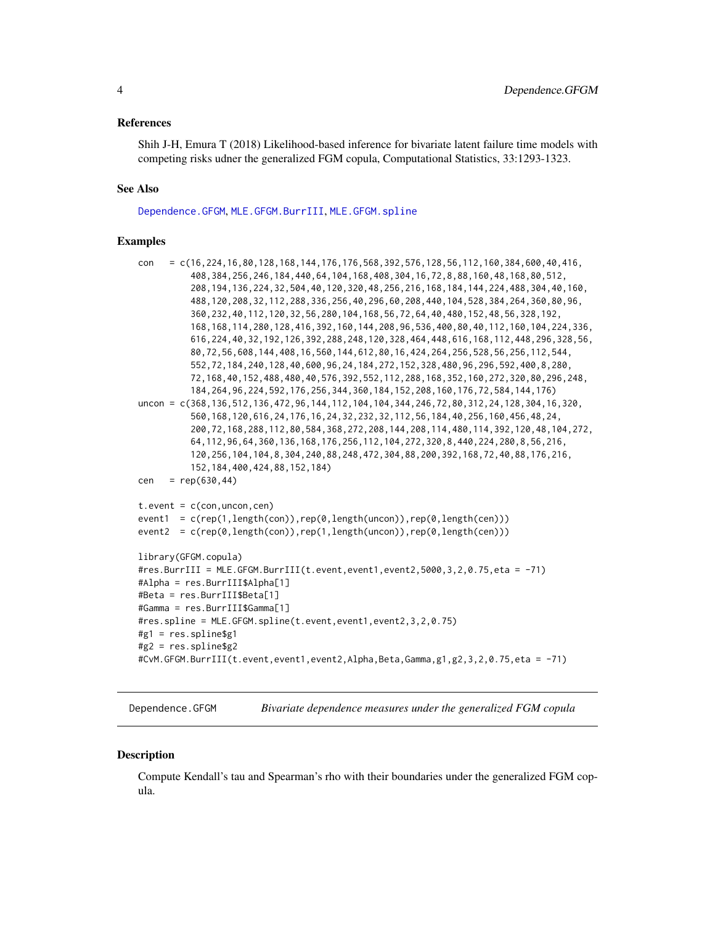#### <span id="page-3-0"></span>References

Shih J-H, Emura T (2018) Likelihood-based inference for bivariate latent failure time models with competing risks udner the generalized FGM copula, Computational Statistics, 33:1293-1323.

#### See Also

[Dependence.GFGM](#page-3-1), [MLE.GFGM.BurrIII](#page-5-1), [MLE.GFGM.spline](#page-8-1)

#### Examples

```
con = c(16,224,16,80,128,168,144,176,176,568,392,576,128,56,112,160,384,600,40,416,
          408,384,256,246,184,440,64,104,168,408,304,16,72,8,88,160,48,168,80,512,
          208,194,136,224,32,504,40,120,320,48,256,216,168,184,144,224,488,304,40,160,
          488,120,208,32,112,288,336,256,40,296,60,208,440,104,528,384,264,360,80,96,
          360,232,40,112,120,32,56,280,104,168,56,72,64,40,480,152,48,56,328,192,
          168,168,114,280,128,416,392,160,144,208,96,536,400,80,40,112,160,104,224,336,
          616,224,40,32,192,126,392,288,248,120,328,464,448,616,168,112,448,296,328,56,
          80,72,56,608,144,408,16,560,144,612,80,16,424,264,256,528,56,256,112,544,
          552,72,184,240,128,40,600,96,24,184,272,152,328,480,96,296,592,400,8,280,
          72,168,40,152,488,480,40,576,392,552,112,288,168,352,160,272,320,80,296,248,
          184,264,96,224,592,176,256,344,360,184,152,208,160,176,72,584,144,176)
uncon = c(368,136,512,136,472,96,144,112,104,104,344,246,72,80,312,24,128,304,16,320,
          560,168,120,616,24,176,16,24,32,232,32,112,56,184,40,256,160,456,48,24,
          200,72,168,288,112,80,584,368,272,208,144,208,114,480,114,392,120,48,104,272,
          64,112,96,64,360,136,168,176,256,112,104,272,320,8,440,224,280,8,56,216,
          120,256,104,104,8,304,240,88,248,472,304,88,200,392,168,72,40,88,176,216,
          152,184,400,424,88,152,184)
cen = rep(630, 44)t.event = c(con, uncon, cen)event1 = c(rep(1,length(con)),rep(0,length(uncon)),rep(0,length(cen)))
event2 = c(rep(\theta, length(con)), rep(1, length(uncon)), rep(\theta, length(cen)))library(GFGM.copula)
#res.BurrIII = MLE.GFGM.BurrIII(t.event,event1,event2,5000,3,2,0.75,eta = -71)
#Alpha = res.BurrIII$Alpha[1]
#Beta = res.BurrIII$Beta[1]
#Gamma = res.BurrIII$Gamma[1]
#res.spline = MLE.GFGM.spline(t.event,event1,event2,3,2,0.75)
#g1 = res.spline$g1
#g2 = res.spline$g2
#CvM.GFGM.BurrIII(t.event,event1,event2,Alpha,Beta,Gamma,g1,g2,3,2,0.75,eta = -71)
```
<span id="page-3-1"></span>Dependence.GFGM *Bivariate dependence measures under the generalized FGM copula*

#### **Description**

Compute Kendall's tau and Spearman's rho with their boundaries under the generalized FGM copula.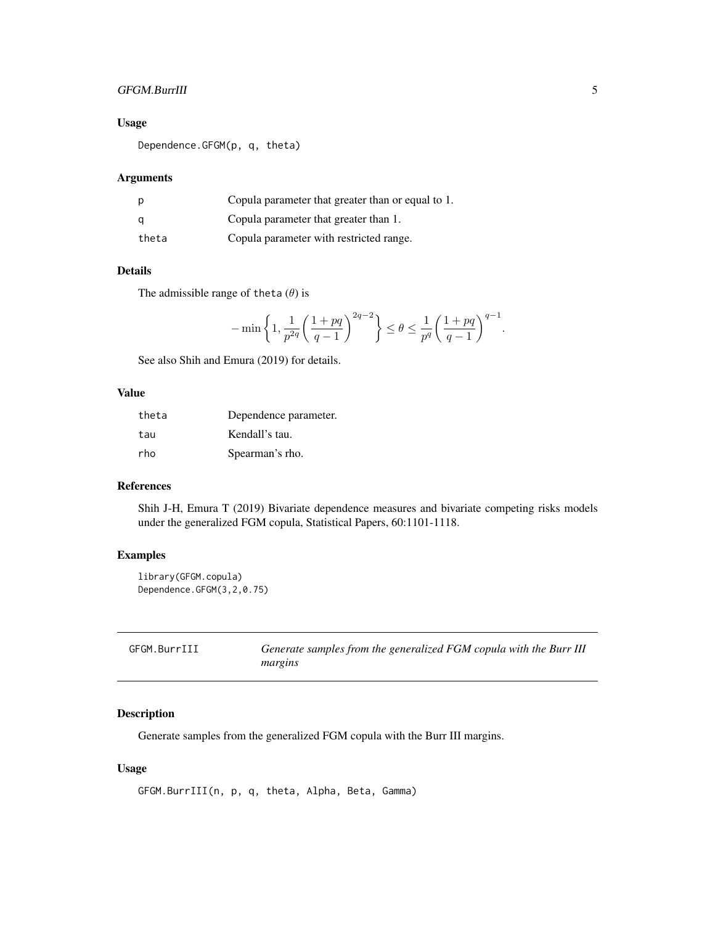#### <span id="page-4-0"></span>GFGM.BurrIII 5

#### Usage

Dependence.GFGM(p, q, theta)

#### Arguments

| p     | Copula parameter that greater than or equal to 1. |
|-------|---------------------------------------------------|
| a     | Copula parameter that greater than 1.             |
| theta | Copula parameter with restricted range.           |

#### Details

The admissible range of theta  $(\theta)$  is

$$
-\min\left\{1,\frac{1}{p^{2q}}\bigg(\frac{1+pq}{q-1}\bigg)^{2q-2}\right\}\leq\theta\leq\frac{1}{p^q}\bigg(\frac{1+pq}{q-1}\bigg)^{q-1}.
$$

See also Shih and Emura (2019) for details.

#### Value

| theta | Dependence parameter. |
|-------|-----------------------|
| tau   | Kendall's tau.        |
| rho   | Spearman's rho.       |

#### References

Shih J-H, Emura T (2019) Bivariate dependence measures and bivariate competing risks models under the generalized FGM copula, Statistical Papers, 60:1101-1118.

#### Examples

```
library(GFGM.copula)
Dependence.GFGM(3,2,0.75)
```

| GFGM.BurrIII | Generate samples from the generalized FGM copula with the Burr III |
|--------------|--------------------------------------------------------------------|
|              | margins                                                            |

#### Description

Generate samples from the generalized FGM copula with the Burr III margins.

#### Usage

```
GFGM.BurrIII(n, p, q, theta, Alpha, Beta, Gamma)
```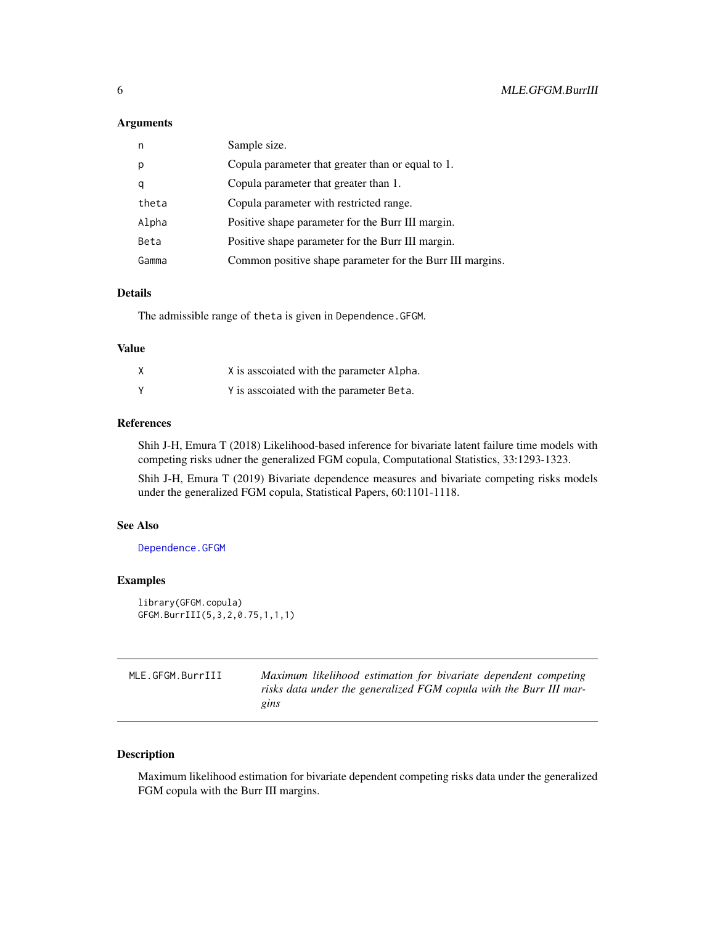#### <span id="page-5-0"></span>Arguments

| n     | Sample size.                                              |
|-------|-----------------------------------------------------------|
| р     | Copula parameter that greater than or equal to 1.         |
| q     | Copula parameter that greater than 1.                     |
| theta | Copula parameter with restricted range.                   |
| Alpha | Positive shape parameter for the Burr III margin.         |
| Beta  | Positive shape parameter for the Burr III margin.         |
| Gamma | Common positive shape parameter for the Burr III margins. |
|       |                                                           |

#### Details

The admissible range of theta is given in Dependence.GFGM.

#### Value

|   | X is associated with the parameter Alpha. |
|---|-------------------------------------------|
| γ | Y is associated with the parameter Beta.  |

#### References

Shih J-H, Emura T (2018) Likelihood-based inference for bivariate latent failure time models with competing risks udner the generalized FGM copula, Computational Statistics, 33:1293-1323.

Shih J-H, Emura T (2019) Bivariate dependence measures and bivariate competing risks models under the generalized FGM copula, Statistical Papers, 60:1101-1118.

#### See Also

[Dependence.GFGM](#page-3-1)

#### Examples

```
library(GFGM.copula)
GFGM.BurrIII(5,3,2,0.75,1,1,1)
```
<span id="page-5-1"></span>

| MLE.GFGM.BurrIII | Maximum likelihood estimation for bivariate dependent competing    |
|------------------|--------------------------------------------------------------------|
|                  | risks data under the generalized FGM copula with the Burr III mar- |
|                  | gins                                                               |

#### Description

Maximum likelihood estimation for bivariate dependent competing risks data under the generalized FGM copula with the Burr III margins.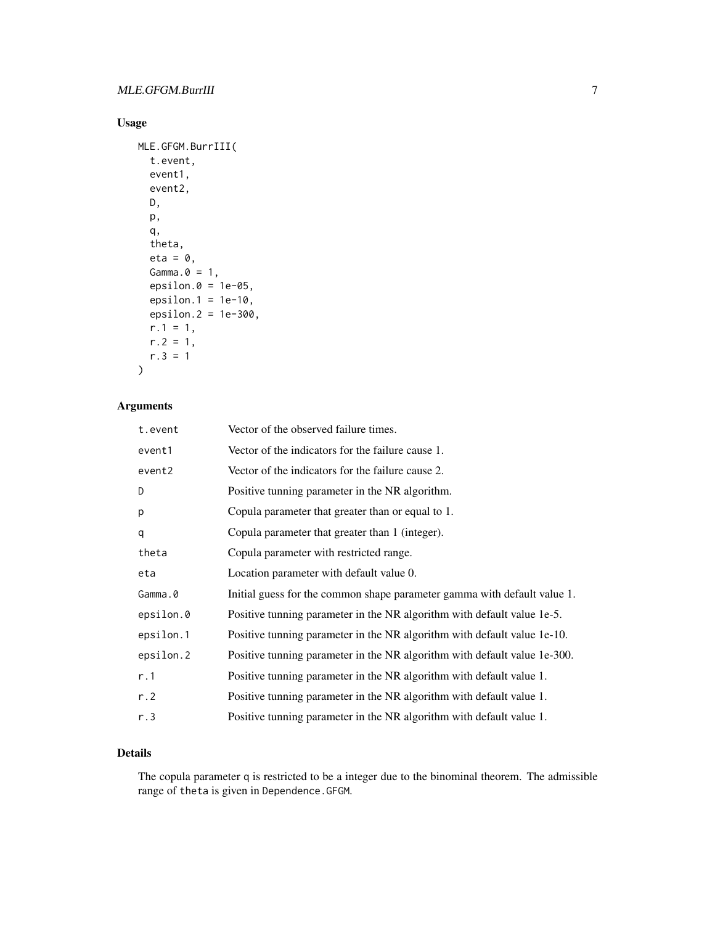#### Usage

```
MLE.GFGM.BurrIII(
  t.event,
  event1,
  event2,
  D,
  p,
  q,
  theta,
  eta = 0,
  Gamma.\theta = 1,
  epsilon.0 = 1e-05,
  epsilon.1 = 1e-10,
  epsilon.2 = 1e-300,
  r.1 = 1,
  r.2 = 1,
  r.3 = 1\mathcal{L}
```
#### Arguments

| t.event   | Vector of the observed failure times.                                     |
|-----------|---------------------------------------------------------------------------|
| event1    | Vector of the indicators for the failure cause 1.                         |
| event2    | Vector of the indicators for the failure cause 2.                         |
| D         | Positive tunning parameter in the NR algorithm.                           |
| p         | Copula parameter that greater than or equal to 1.                         |
| q         | Copula parameter that greater than 1 (integer).                           |
| theta     | Copula parameter with restricted range.                                   |
| eta       | Location parameter with default value 0.                                  |
| Gamma.0   | Initial guess for the common shape parameter gamma with default value 1.  |
| epsilon.0 | Positive tunning parameter in the NR algorithm with default value 1e-5.   |
| epsilon.1 | Positive tunning parameter in the NR algorithm with default value 1e-10.  |
| epsilon.2 | Positive tunning parameter in the NR algorithm with default value 1e-300. |
| r.1       | Positive tunning parameter in the NR algorithm with default value 1.      |
| r.2       | Positive tunning parameter in the NR algorithm with default value 1.      |
| r.3       | Positive tunning parameter in the NR algorithm with default value 1.      |

#### Details

The copula parameter q is restricted to be a integer due to the binominal theorem. The admissible range of theta is given in Dependence.GFGM.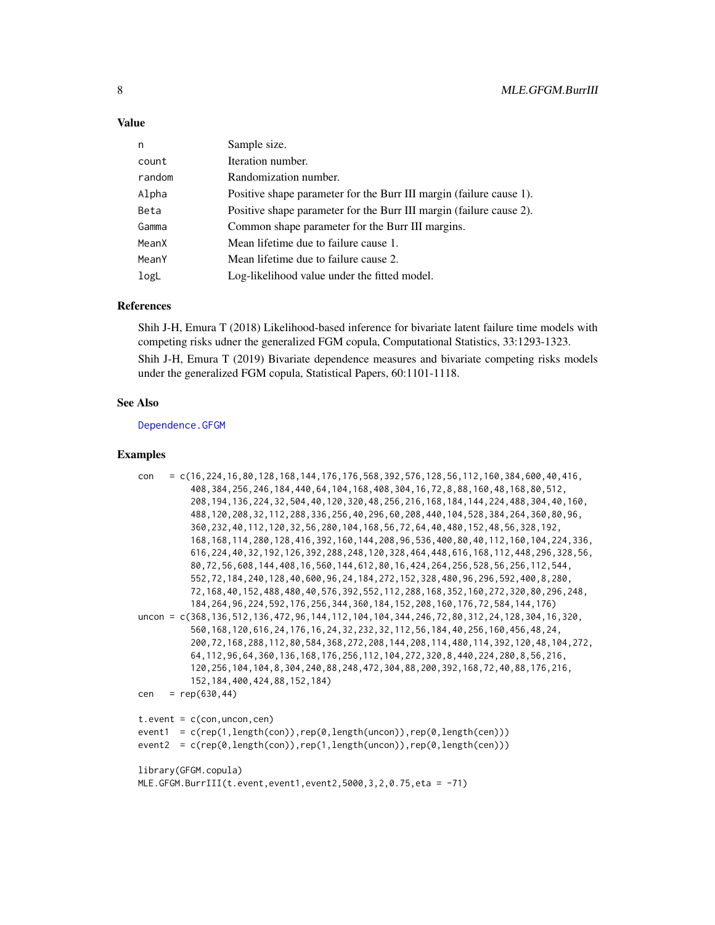#### <span id="page-7-0"></span>Value

| n      | Sample size.                                                        |
|--------|---------------------------------------------------------------------|
| count  | Iteration number.                                                   |
| random | Randomization number.                                               |
| Alpha  | Positive shape parameter for the Burr III margin (failure cause 1). |
| Beta   | Positive shape parameter for the Burr III margin (failure cause 2). |
| Gamma  | Common shape parameter for the Burr III margins.                    |
| MeanX  | Mean lifetime due to failure cause 1.                               |
| MeanY  | Mean lifetime due to failure cause 2.                               |
| logL   | Log-likelihood value under the fitted model.                        |
|        |                                                                     |

#### References

Shih J-H, Emura T (2018) Likelihood-based inference for bivariate latent failure time models with competing risks udner the generalized FGM copula, Computational Statistics, 33:1293-1323. Shih J-H, Emura T (2019) Bivariate dependence measures and bivariate competing risks models under the generalized FGM copula, Statistical Papers, 60:1101-1118.

#### See Also

[Dependence.GFGM](#page-3-1)

#### Examples

```
con = c(16,224,16,80,128,168,144,176,176,568,392,576,128,56,112,160,384,600,40,416,
          408,384,256,246,184,440,64,104,168,408,304,16,72,8,88,160,48,168,80,512,
          208,194,136,224,32,504,40,120,320,48,256,216,168,184,144,224,488,304,40,160,
          488,120,208,32,112,288,336,256,40,296,60,208,440,104,528,384,264,360,80,96,
          360,232,40,112,120,32,56,280,104,168,56,72,64,40,480,152,48,56,328,192,
          168,168,114,280,128,416,392,160,144,208,96,536,400,80,40,112,160,104,224,336,
          616,224,40,32,192,126,392,288,248,120,328,464,448,616,168,112,448,296,328,56,
          80,72,56,608,144,408,16,560,144,612,80,16,424,264,256,528,56,256,112,544,
          552,72,184,240,128,40,600,96,24,184,272,152,328,480,96,296,592,400,8,280,
          72,168,40,152,488,480,40,576,392,552,112,288,168,352,160,272,320,80,296,248,
          184,264,96,224,592,176,256,344,360,184,152,208,160,176,72,584,144,176)
uncon = c(368,136,512,136,472,96,144,112,104,104,344,246,72,80,312,24,128,304,16,320,
          560,168,120,616,24,176,16,24,32,232,32,112,56,184,40,256,160,456,48,24,
          200,72,168,288,112,80,584,368,272,208,144,208,114,480,114,392,120,48,104,272,
          64,112,96,64,360,136,168,176,256,112,104,272,320,8,440,224,280,8,56,216,
          120,256,104,104,8,304,240,88,248,472,304,88,200,392,168,72,40,88,176,216,
          152,184,400,424,88,152,184)
cen = rep(630, 44)t.event = c(con, uncon, cen)
event1 = c(rep(1,length(con)),rep(0,length(uncon)),rep(0,length(cen)))
event2 = c(rep(0,length(con)),rep(1,length(uncon)),rep(0,length(cen)))
library(GFGM.copula)
MLE.GFGM.BurrIII(t.event,event1,event2,5000,3,2,0.75,eta = -71)
```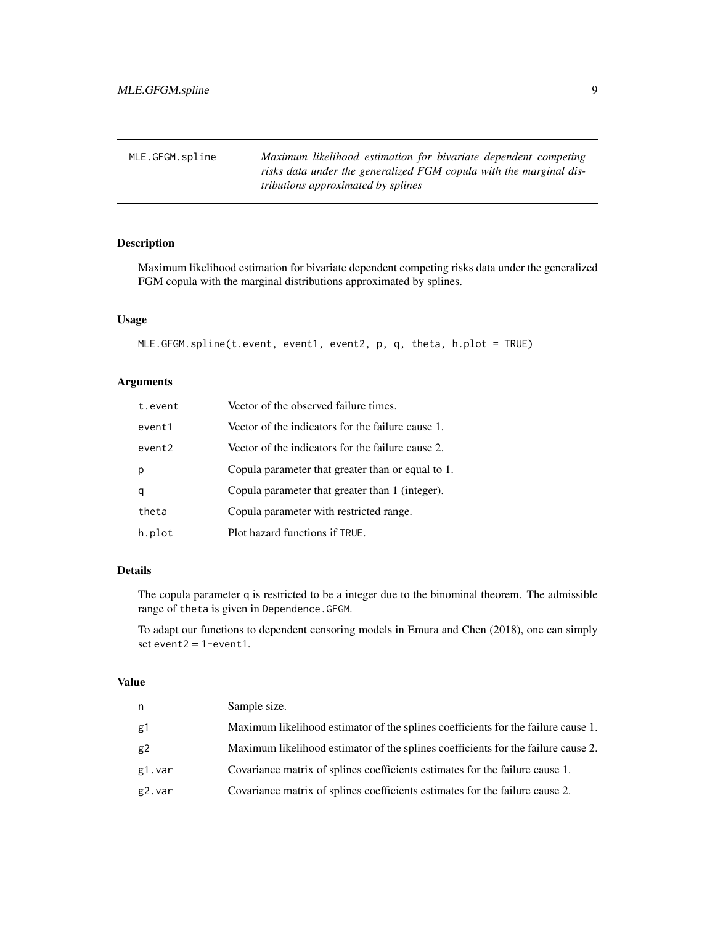<span id="page-8-1"></span><span id="page-8-0"></span>

| MLE.GFGM.spline | Maximum likelihood estimation for bivariate dependent competing    |
|-----------------|--------------------------------------------------------------------|
|                 | risks data under the generalized FGM copula with the marginal dis- |
|                 | <i>tributions approximated by splines</i>                          |

#### Description

Maximum likelihood estimation for bivariate dependent competing risks data under the generalized FGM copula with the marginal distributions approximated by splines.

#### Usage

```
MLE.GFGM.spline(t.event, event1, event2, p, q, theta, h.plot = TRUE)
```
#### Arguments

| t.event | Vector of the observed failure times.             |
|---------|---------------------------------------------------|
| event1  | Vector of the indicators for the failure cause 1. |
| event2  | Vector of the indicators for the failure cause 2. |
| p       | Copula parameter that greater than or equal to 1. |
| q       | Copula parameter that greater than 1 (integer).   |
| theta   | Copula parameter with restricted range.           |
| h.plot  | Plot hazard functions if TRUE.                    |

#### Details

The copula parameter q is restricted to be a integer due to the binominal theorem. The admissible range of theta is given in Dependence.GFGM.

To adapt our functions to dependent censoring models in Emura and Chen (2018), one can simply set event $2 = 1$ -event $1$ .

#### Value

| n      | Sample size.                                                                      |
|--------|-----------------------------------------------------------------------------------|
| g1     | Maximum likelihood estimator of the splines coefficients for the failure cause 1. |
| g2     | Maximum likelihood estimator of the splines coefficients for the failure cause 2. |
| g1.var | Covariance matrix of splines coefficients estimates for the failure cause 1.      |
| g2.var | Covariance matrix of splines coefficients estimates for the failure cause 2.      |
|        |                                                                                   |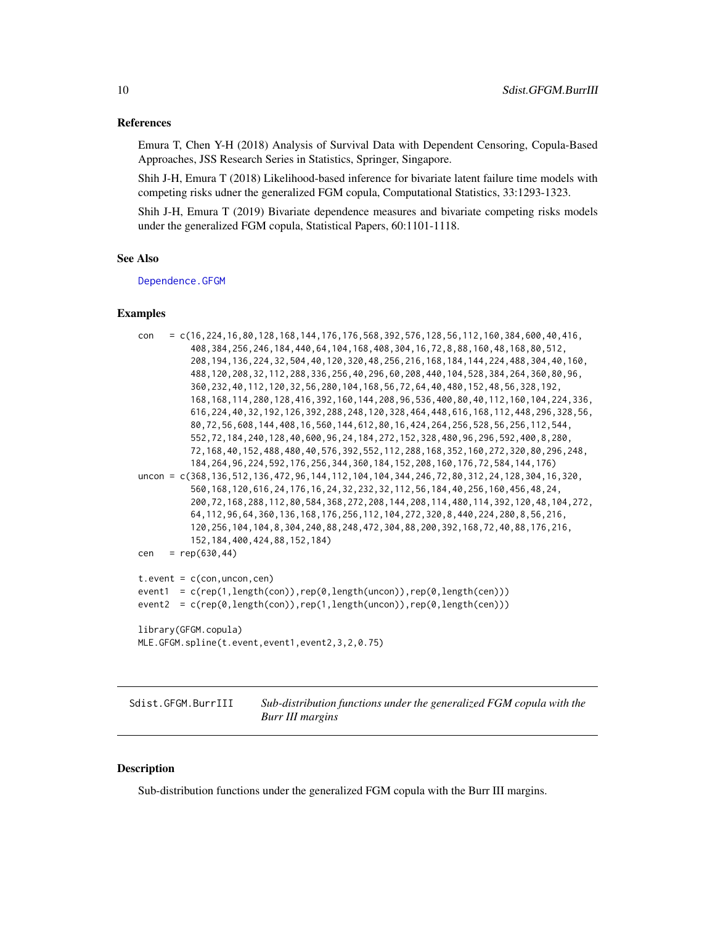#### <span id="page-9-0"></span>References

Emura T, Chen Y-H (2018) Analysis of Survival Data with Dependent Censoring, Copula-Based Approaches, JSS Research Series in Statistics, Springer, Singapore.

Shih J-H, Emura T (2018) Likelihood-based inference for bivariate latent failure time models with competing risks udner the generalized FGM copula, Computational Statistics, 33:1293-1323.

Shih J-H, Emura T (2019) Bivariate dependence measures and bivariate competing risks models under the generalized FGM copula, Statistical Papers, 60:1101-1118.

#### See Also

[Dependence.GFGM](#page-3-1)

#### Examples

| $=$ c(16,224,16,80,128,168,144,176,176,568,392,576,128,56,112,160,384,600,40,416,<br>con                   |
|------------------------------------------------------------------------------------------------------------|
| 408, 384, 256, 246, 184, 440, 64, 104, 168, 408, 304, 16, 72, 8, 88, 160, 48, 168, 80, 512,                |
| 208, 194, 136, 224, 32, 504, 40, 120, 320, 48, 256, 216, 168, 184, 144, 224, 488, 304, 40, 160,            |
| 488,120,208,32,112,288,336,256,40,296,60,208,440,104,528,384,264,360,80,96,                                |
| 360, 232, 40, 112, 120, 32, 56, 280, 104, 168, 56, 72, 64, 40, 480, 152, 48, 56, 328, 192,                 |
| 168, 168, 114, 280, 128, 416, 392, 160, 144, 208, 96, 536, 400, 80, 40, 112, 160, 104, 224, 336,           |
| 616, 224, 40, 32, 192, 126, 392, 288, 248, 120, 328, 464, 448, 616, 168, 112, 448, 296, 328, 56,           |
| 80, 72, 56, 608, 144, 408, 16, 560, 144, 612, 80, 16, 424, 264, 256, 528, 56, 256, 112, 544,               |
| 552, 72, 184, 240, 128, 40, 600, 96, 24, 184, 272, 152, 328, 480, 96, 296, 592, 400, 8, 280,               |
| 72, 168, 40, 152, 488, 480, 40, 576, 392, 552, 112, 288, 168, 352, 160, 272, 320, 80, 296, 248,            |
| 184, 264, 96, 224, 592, 176, 256, 344, 360, 184, 152, 208, 160, 176, 72, 584, 144, 176)                    |
| uncon = $c(368, 136, 512, 136, 472, 96, 144, 112, 104, 104, 344, 246, 72, 80, 312, 24, 128, 304, 16, 320,$ |
| 560, 168, 120, 616, 24, 176, 16, 24, 32, 232, 32, 112, 56, 184, 40, 256, 160, 456, 48, 24,                 |
| 200, 72, 168, 288, 112, 80, 584, 368, 272, 208, 144, 208, 114, 480, 114, 392, 120, 48, 104, 272,           |
| 64, 112, 96, 64, 360, 136, 168, 176, 256, 112, 104, 272, 320, 8, 440, 224, 280, 8, 56, 216,                |
| 120, 256, 104, 104, 8, 304, 240, 88, 248, 472, 304, 88, 200, 392, 168, 72, 40, 88, 176, 216,               |
| 152, 184, 400, 424, 88, 152, 184)                                                                          |
| $= rep(630, 44)$<br>cen                                                                                    |
|                                                                                                            |
| $t.event = c(con, uncon, cen)$                                                                             |
| $= c(rep(1, length(con)), rep(0, length(uncon)), rep(0, length(cen)))$<br>event1                           |
| $= c(rep(\theta, length(con)), rep(1, length(uncon)), rep(\theta, length(cen))))$<br>event2                |
|                                                                                                            |
| library(GFGM.copula)                                                                                       |
| MLE.GFGM.spline(t.event,event1,event2,3,2,0.75)                                                            |
|                                                                                                            |

Sdist.GFGM.BurrIII *Sub-distribution functions under the generalized FGM copula with the Burr III margins*

#### Description

Sub-distribution functions under the generalized FGM copula with the Burr III margins.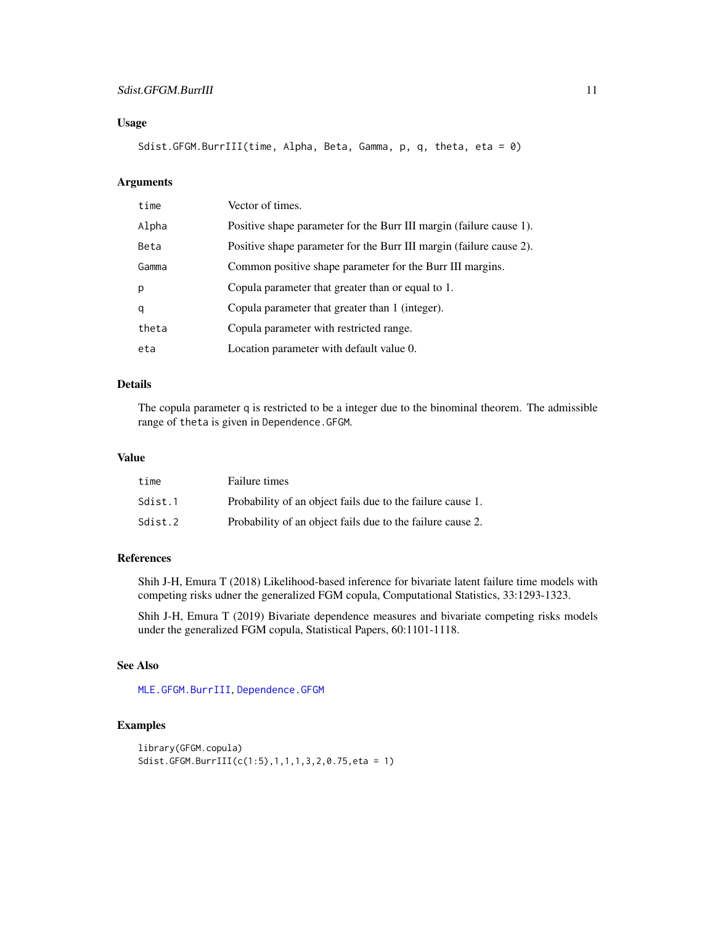#### <span id="page-10-0"></span>Sdist.GFGM.BurrIII 11

#### Usage

```
Sdist.GFGM.BurrIII(time, Alpha, Beta, Gamma, p, q, theta, eta = 0)
```
#### Arguments

| time  | Vector of times.                                                    |
|-------|---------------------------------------------------------------------|
| Alpha | Positive shape parameter for the Burr III margin (failure cause 1). |
| Beta  | Positive shape parameter for the Burr III margin (failure cause 2). |
| Gamma | Common positive shape parameter for the Burr III margins.           |
| p     | Copula parameter that greater than or equal to 1.                   |
| q     | Copula parameter that greater than 1 (integer).                     |
| theta | Copula parameter with restricted range.                             |
| eta   | Location parameter with default value 0.                            |

#### Details

The copula parameter q is restricted to be a integer due to the binominal theorem. The admissible range of theta is given in Dependence.GFGM.

#### Value

| time    | Failure times                                              |
|---------|------------------------------------------------------------|
| Sdist.1 | Probability of an object fails due to the failure cause 1. |
| Sdist.2 | Probability of an object fails due to the failure cause 2. |

#### References

Shih J-H, Emura T (2018) Likelihood-based inference for bivariate latent failure time models with competing risks udner the generalized FGM copula, Computational Statistics, 33:1293-1323.

Shih J-H, Emura T (2019) Bivariate dependence measures and bivariate competing risks models under the generalized FGM copula, Statistical Papers, 60:1101-1118.

#### See Also

[MLE.GFGM.BurrIII](#page-5-1), [Dependence.GFGM](#page-3-1)

#### Examples

```
library(GFGM.copula)
Sdist.GFGM.BurrIII(c(1:5),1,1,1,3,2,0.75,eta = 1)
```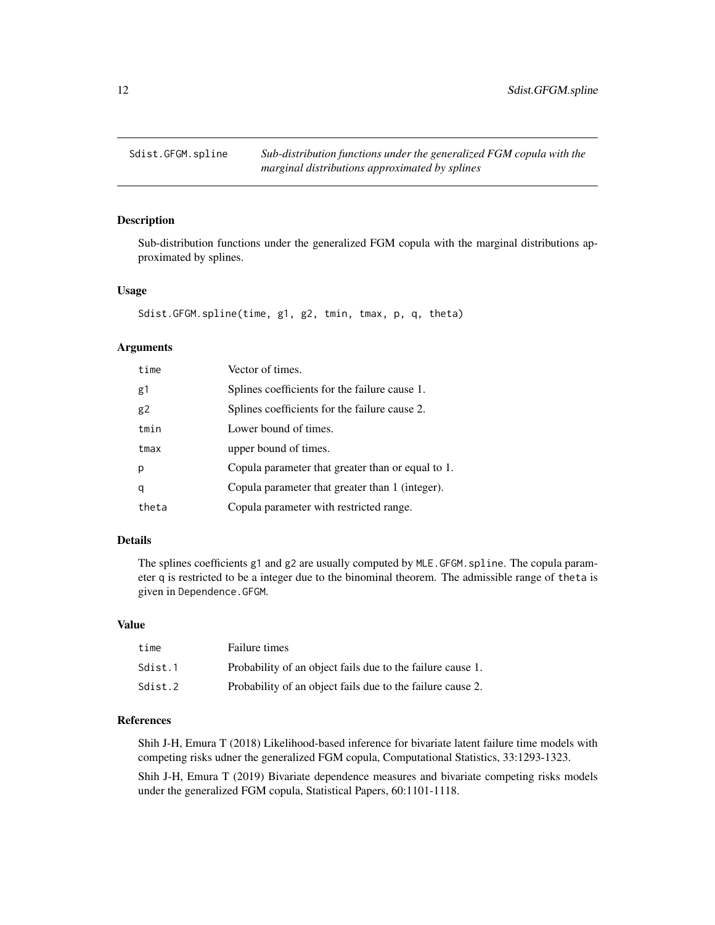<span id="page-11-0"></span>

#### Description

Sub-distribution functions under the generalized FGM copula with the marginal distributions approximated by splines.

#### Usage

```
Sdist.GFGM.spline(time, g1, g2, tmin, tmax, p, q, theta)
```
#### Arguments

| time  | Vector of times.                                  |
|-------|---------------------------------------------------|
| g1    | Splines coefficients for the failure cause 1.     |
| g2    | Splines coefficients for the failure cause 2.     |
| tmin  | Lower bound of times.                             |
| tmax  | upper bound of times.                             |
| р     | Copula parameter that greater than or equal to 1. |
| q     | Copula parameter that greater than 1 (integer).   |
| theta | Copula parameter with restricted range.           |

#### Details

The splines coefficients g1 and g2 are usually computed by MLE.GFGM.spline. The copula parameter q is restricted to be a integer due to the binominal theorem. The admissible range of theta is given in Dependence.GFGM.

#### Value

| time    | Failure times                                              |
|---------|------------------------------------------------------------|
| Sdist.1 | Probability of an object fails due to the failure cause 1. |
| Sdist.2 | Probability of an object fails due to the failure cause 2. |

#### References

Shih J-H, Emura T (2018) Likelihood-based inference for bivariate latent failure time models with competing risks udner the generalized FGM copula, Computational Statistics, 33:1293-1323.

Shih J-H, Emura T (2019) Bivariate dependence measures and bivariate competing risks models under the generalized FGM copula, Statistical Papers, 60:1101-1118.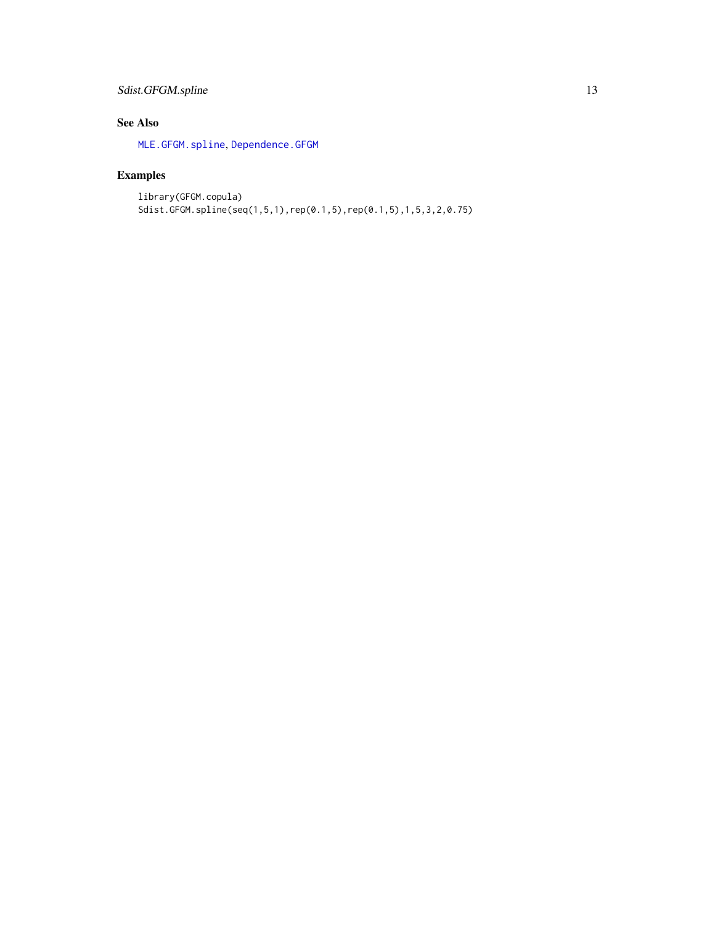#### <span id="page-12-0"></span>Sdist.GFGM.spline 13

#### See Also

[MLE.GFGM.spline](#page-8-1), [Dependence.GFGM](#page-3-1)

### Examples

library(GFGM.copula) Sdist.GFGM.spline(seq(1,5,1),rep(0.1,5),rep(0.1,5),1,5,3,2,0.75)